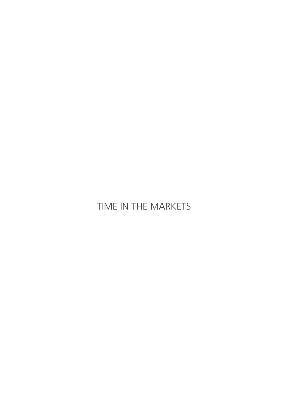### Time in the markets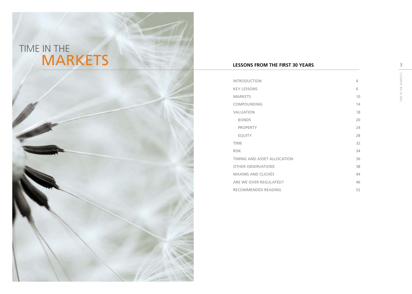



#### **LESSONS FROM THE FIRST 30 YEARS**

| <b>INTRODUCTION</b>         | 4  |
|-----------------------------|----|
| <b>KEY LESSONS</b>          | 6  |
| <b>MARKETS</b>              | 10 |
| COMPOUNDING                 | 14 |
| <b>VALUATION</b>            | 18 |
| <b>BONDS</b>                | 20 |
| <b>PROPERTY</b>             | 24 |
| <b>EQUITY</b>               | 28 |
| <b>TIME</b>                 | 32 |
| <b>RISK</b>                 | 34 |
| TIMING AND ASSET ALLOCATION | 36 |
| <b>OTHER OBSERVATIONS</b>   | 38 |
| <b>MAXIMS AND CLICHÉS</b>   | 44 |
| ARE WE OVER REGULATED?      | 46 |
| RECOMMENDED READING         | 52 |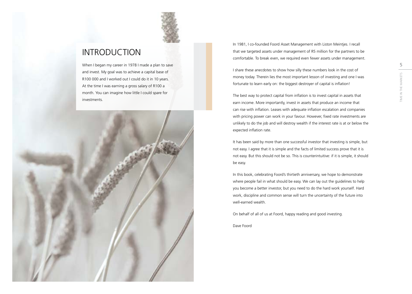

### <span id="page-2-0"></span>**INTRODUCTION**

When I began my career in 1978 I made a plan to save and invest. My goal was to achieve a capital base of R100 000 and I worked out I could do it in 10 years. At the time I was earning a gross salary of R100 a month. You can imagine how little I could spare for investments.



In 1981, I co-founded Foord Asset Management with Liston Meintjes. I recall that we targeted assets under management of R5 million for the partners to be comfortable. To break even, we required even fewer assets under management.

I share these anecdotes to show how silly these numbers look in the cost of money today. Therein lies the most important lesson of investing and one I was fortunate to learn early on: the biggest destroyer of capital is inflation!

The best way to protect capital from inflation is to invest capital in assets that earn income. More importantly, invest in assets that produce an income that can rise with inflation. Leases with adequate inflation escalation and companies with pricing power can work in your favour. However, fixed rate investments are unlikely to do the job and will destroy wealth if the interest rate is at or below the expected inflation rate.

It has been said by more than one successful investor that investing is simple, but not easy. I agree that it is simple and the facts of limited success prove that it is not easy. But this should not be so. This is counterintuitive: if it is simple, it should be easy.

In this book, celebrating Foord's thirtieth anniversary, we hope to demonstrate where people fail in what should be easy. We can lay out the guidelines to help you become a better investor, but you need to do the hard work yourself. Hard work, discipline and common sense will turn the uncertainty of the future into well-earned wealth.

On behalf of all of us at Foord, happy reading and good investing.

Dave Foord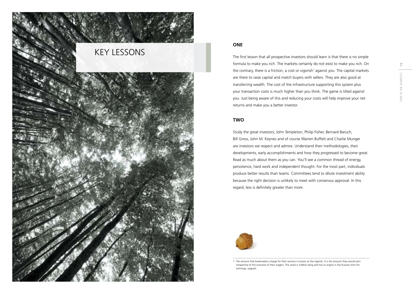<span id="page-3-0"></span>

#### **One**

The first lesson that all prospective investors should learn is that there is no simple formula to make you rich. The markets certainly do not exist to make you rich. On the contrary, there is a friction, a cost or vigorish<sup>1</sup> against you. The capital markets are there to raise capital and match buyers with sellers. They are also good at transferring wealth. The cost of the infrastructure supporting this system plus your transaction costs is much higher than you think. The game is tilted against you. Just being aware of this and reducing your costs will help improve your net returns and make you a better investor.

#### **Two**

Study the great investors; John Templeton, Philip Fisher, Bernard Baruch, Bill Gross, John M. Keynes and of course Warren Buffett and Charlie Munger are investors we respect and admire. Understand their methodologies, their developments, early accomplishments and how they progressed to become great. Read as much about them as you can. You'll see a common thread of energy, persistence, hard work and independent thought. For the most part, individuals produce better results than teams. Committees tend to dilute investment ability because the right decision is unlikely to meet with consensus approval. In this regard, less is definitely greater than more.



<sup>1</sup> The amount that bookmakers charge for their services is known as the vigorish. It is the amount they would earn irrespective of the outcome of their wagers. The word is Yiddish slang and has its origins in the Russian term for winnings, vyigrysh.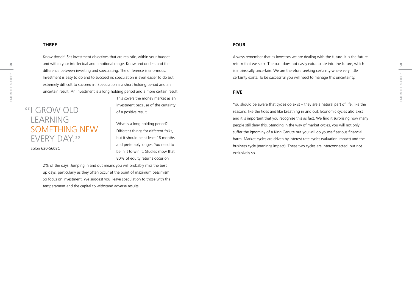#### **Three**

8 8 and within your intellectual and emotional range. Know and understand the subsequence to the past does not easily extrapolate into the future, which that we seek. The past does not easily extrapolate into the future, w Investment is easy to do and to succeed in; speculation is even easier to do but<br> $\frac{15}{20}$ <br> $\frac{15}{20}$ <br> $\frac{15}{20}$  extremely difficult to succeed in. Speculation is a short holding period and an<br> $\frac{15}{20}$ <br> $\frac{15}{20}$ <br> Know thyself. Set investment objectives that are realistic, within your budget and within your intellectual and emotional range. Know and understand the difference between investing and speculating. The difference is enormous. Investment is easy to do and to succeed in; speculation is even easier to do but extremely difficult to succeed in. Speculation is a short holding period and an uncertain result. An investment is a long holding period and a more certain result.

### **"I GROW OLD LEARNING** something new **EVERY DAY.**"

Solon 630-560BC

This covers the money market as an investment because of the certainty of a positive result.

What is a long holding period? Different things for different folks, but it should be at least 18 months and preferably longer. You need to be in it to win it. Studies show that 80% of equity returns occur on

2% of the days. Jumping in and out means you will probably miss the best up days, particularly as they often occur at the point of maximum pessimism. So focus on investment. We suggest you leave speculation to those with the temperament and the capital to withstand adverse results.

#### **Four**

Always remember that as investors we are dealing with the future. It is the future is intrinsically uncertain. We are therefore seeking certainty where very little certainty exists. To be successful you will need to manage this uncertainty.

#### **Five**

You should be aware that cycles do exist – they are a natural part of life, like the seasons, like the tides and like breathing in and out. Economic cycles also exist and it is important that you recognise this as fact. We find it surprising how many people still deny this. Standing in the way of market cycles, you will not only suffer the ignominy of a King Canute but you will do yourself serious financial harm. Market cycles are driven by interest rate cycles (valuation impact) and the business cycle (earnings impact). These two cycles are interconnected, but not exclusively so.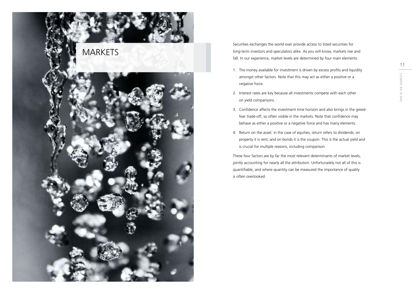<span id="page-5-0"></span>

Securities exchanges the world over provide access to listed securities for long-term investors and speculators alike. As you will know, markets rise and fall. In our experience, market levels are determined by four main elements:

- 1. The money available for investment is driven by excess profits and liquidity amongst other factors. Note that this may act as either a positive or a negative force.
- 2. Interest rates are key because all investments compete with each other on yield comparisons.
- 3. Confidence affects the investment time horizon and also brings in the greedfear trade-off, so often visible in the markets. Note that confidence may behave as either a positive or a negative force and has many elements.
- 4. Return on the asset: in the case of equities, return refers to dividends; on property it is rent; and on bonds it is the coupon. This is the actual yield and is crucial for multiple reasons, including comparison.

These four factors are by far the most relevant determinants of market levels, jointly accounting for nearly all the attribution. Unfortunately not all of this is quantifiable, and where quantity can be measured the importance of quality is often overlooked.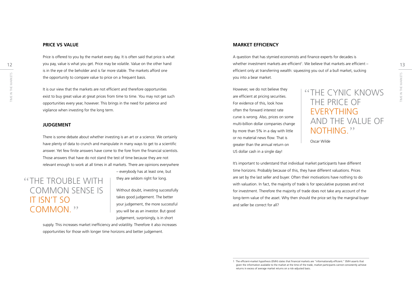#### **Price vs Value**

Price is offered to you by the market every day. It is often said that price is what is in the eye of the beholder and is far more stable. The markets afford one the opportunity to compare value to price on a frequent basis.

THE CYNIC KNOWS<br>
THE CYNIC KNOWS<br>
Example it is our view that the markets are not efficient and therefore opportunities<br>
exist to buy great value at great prices from time to time. You may not get such<br>
Example 1999 are ef It is our view that the markets are not efficient and therefore opportunities exist to buy great value at great prices from time to time. You may not get such opportunities every year, however. This brings in the need for patience and vigilance when investing for the long term.

#### **Judgement**

There is some debate about whether investing is an art or a science. We certainly have plenty of data to crunch and manipulate in many ways to get to a scientific answer. Yet few finite answers have come to the fore from the financial scientists. Those answers that have do not stand the test of time because they are not relevant enough to work at all times in all markets. There are opinions everywhere

### **"THE TROUBLE WITH** common sense is it isn't so COMMON."

– everybody has at least one, but they are seldom right for long.

Without doubt, investing successfully takes good judgement. The better your judgement, the more successful you will be as an investor. But good judgement, surprisingly, is in short

supply. This increases market inefficiency and volatility. Therefore it also increases opportunities for those with longer time horizons and better judgement.

#### **Market Efficiency**

12 you pay, value is what you get. Price may be volatile. Value on the other hand the state the state investment markets are efficient<sup>1</sup>. We believe that markets are efficient – the state of that markets are efficient – t A question that has stymied economists and finance experts for decades is whether investment markets are efficient<sup>1</sup>. We believe that markets are efficient – efficient only at transferring wealth: squeezing you out of a bull market, sucking you into a bear market.

> However, we do not believe they are efficient at pricing securities. For evidence of this, look how often the forward interest rate curve is wrong. Also, prices on some multi-billion dollar companies change by more than 5% in a day with little or no material news flow. That is greater than the annual return on US dollar cash in a single day!

### The cynic knows THE PRICE OF **EVERYTHING** AND the value of NOTHING."

Oscar Wilde

It's important to understand that individual market participants have different time horizons. Probably because of this, they have different valuations. Prices are set by the last seller and buyer. Often their motivations have nothing to do with valuation. In fact, the majority of trade is for speculative purposes and not for investment. Therefore the majority of trade does not take any account of the long-term value of the asset. Why then should the price set by the marginal buyer and seller be correct for all?

<sup>1</sup> The efficient-market hypothesis (EMH) states that financial markets are "informationally efficient." EMH asserts that given the information available to the market at the time of the trade, market participants cannot consistently achieve returns in excess of average market returns on a risk-adjusted basis.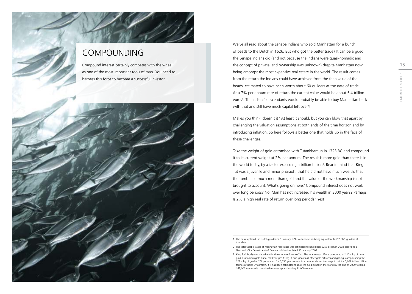### COMPOUNDING

Compound interest certainly competes with the wheel as one of the most important tools of man. You need to harness this force to become a successful investor.

<span id="page-7-0"></span>

We've all read about the Lenape Indians who sold Manhattan for a bunch of beads to the Dutch in 1626. But who got the better trade? It can be argued the Lenape Indians did (and not because the Indians were quasi-nomadic and the concept of private land ownership was unknown) despite Manhattan now being amongst the most expensive real estate in the world. The result comes from the return the Indians could have achieved from the then value of the beads, estimated to have been worth about 60 guilders at the date of trade. At a 7% per annum rate of return the current value would be about 5.4 trillion euros<sup>1</sup>. The Indians' descendants would probably be able to buy Manhattan back with that and still have much capital left over<sup>2</sup>!

Makes you think, doesn't it? At least it should, but you can blow that apart by challenging the valuation assumptions at both ends of the time horizon and by introducing inflation. So here follows a better one that holds up in the face of these challenges.

Take the weight of gold entombed with Tutankhamun in 1323 BC and compound it to its current weight at 2% per annum. The result is more gold than there is in the world today, by a factor exceeding a trillion trillion<sup>3</sup>. Bear in mind that King Tut was a juvenile and minor pharaoh, that he did not have much wealth, that the tomb held much more than gold and the value of the workmanship is not brought to account. What's going on here? Compound interest does not work over long periods? No. Man has not increased his wealth in 3000 years? Perhaps. Is 2% a high real rate of return over long periods? Yes!

<sup>1</sup> The euro replaced the Dutch guilder on 1 January 1999 with one euro being equivalent to 2.20371 guilders at that date.

<sup>2</sup> The total taxable value of Manhattan real estate was estimated to have been \$257 billion in 2008 according a New York City Department of Finance publication dated 15 January 2007.

<sup>3</sup> King Tut's body was placed within three mummiform coffins. The innermost coffin is composed of 110.4 kg of pure gold. His famous gold burial mask weighs 11 kg. If one ignores all other gold artifacts and gilding, compounding this 121.4 kg of gold at 2% per annum for 3,333 years results in a number almost too large to print – 5,602 trillion trillion tonnes of gold! By contrast, it is has been estimated that all the gold mined in the world by the end of 2009 totalled 165,000 tonnes with unmined reserves approximating 31,000 tonnes.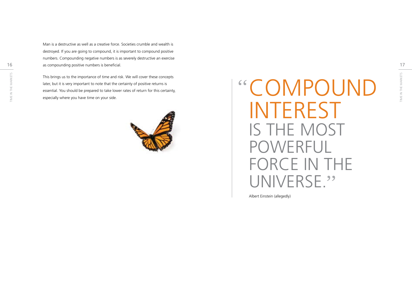16 17 as compounding positive numbers is beneficial. destroyed. If you are going to compound, it is important to compound positive numbers. Compounding negative numbers is as severely destructive an exercise

Man is a destructive as well as a creative force. Societies crumble and wealth is<br>
destroyed. If you are going to compound, it is important to compound positive<br>
numbers. Compounding negative numbers is as severely destruc This brings us to the importance of time and risk. We will cover these concepts later, but it is very important to note that the certainty of positive returns is essential. You should be prepared to take lower rates of return for this certainty, Find Bungs as to the importante of this that has native will cover these concepts<br>later, but it is very important to note that the certainty of positive returns is<br>essential. You should be prepared to take lower rates of r



# **INTEREST** IS THE MOST POWERFUI FORCE IN THE UNIVERSE."

Albert Einstein (allegedly)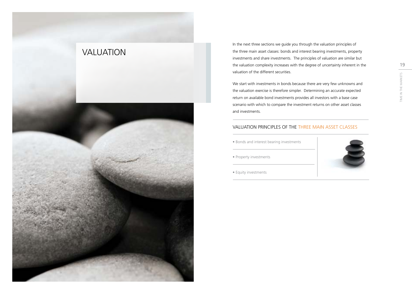<span id="page-9-0"></span>

In the next three sections we guide you through the valuation principles of the three main asset classes: bonds and interest bearing investments, property investments and share investments. The principles of valuation are similar but the valuation complexity increases with the degree of uncertainty inherent in the valuation of the different securities.

We start with investments in bonds because there are very few unknowns and the valuation exercise is therefore simpler. Determining an accurate expected return on available bond investments provides all investors with a base case scenario with which to compare the investment returns on other asset classes and investments.

#### Valuation principles of the three main asset classes

- Bonds and interest bearing investments
- Property investments



• Equity investments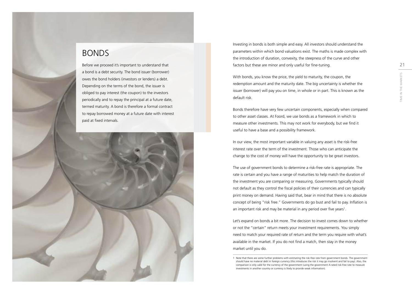### <span id="page-10-0"></span>BONDS

Before we proceed it's important to understand that a bond is a debt security. The bond issuer (borrower) owes the bond holders (investors or lenders) a debt. Depending on the terms of the bond, the issuer is obliged to pay interest (the coupon) to the investors periodically and to repay the principal at a future date, termed maturity. A bond is therefore a formal contract to repay borrowed money at a future date with interest paid at fixed intervals.



Investing in bonds is both simple and easy. All investors should understand the parameters within which bond valuations exist. The maths is made complex with the introduction of duration, convexity, the steepness of the curve and other factors but these are minor and only useful for fine-tuning.

With bonds, you know the price, the yield to maturity, the coupon, the redemption amount and the maturity date. The big uncertainty is whether the issuer (borrower) will pay you on time, in whole or in part. This is known as the default risk.

Bonds therefore have very few uncertain components, especially when compared to other asset classes. At Foord, we use bonds as a framework in which to measure other investments. This may not work for everybody, but we find it useful to have a base and a possibility framework.

In our view, the most important variable in valuing any asset is the risk-free interest rate over the term of the investment. Those who can anticipate the change to the cost of money will have the opportunity to be great investors.

The use of government bonds to determine a risk-free rate is appropriate. The rate is certain and you have a range of maturities to help match the duration of the investment you are comparing or measuring. Governments typically should not default as they control the fiscal policies of their currencies and can typically print money on demand. Having said that, bear in mind that there is no absolute concept of being "risk free." Governments do go bust and fail to pay. Inflation is an important risk and may be material in any period over five years<sup>1</sup>.

Let's expand on bonds a bit more. The decision to invest comes down to whether or not the "certain" return meets your investment requirements. You simply need to match your required rate of return and the term you require with what's available in the market. If you do not find a match, then stay in the money market until you do.

<sup>1</sup> Note that there are some further problems with estimating the risk-free rate from government bonds. The government should have no material debt in foreign currency (this introduces the risk it may go insolvent and fail to pay). Also, the comparison is only valid for the currency of the government (using the government A-rated risk-free rate to measure investments in another country or currency is likely to provide weak information).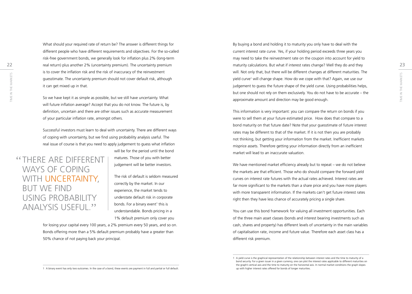22 maturity calculations. But what if interest rates change? Well they do and they reproduce the 23 What should your required rate of return be? The answer is different things for different people who have different requirements and objectives. For the so-called risk-free government bonds, we generally look for inflation plus 2% (long-term real return) plus another 2% (uncertainty premium). The uncertainty premium is to cover the inflation risk and the risk of inaccuracy of the reinvestment guesstimate. The uncertainty premium should not cover default risk, although it can get mixed up in that.

So we have kept it as simple as possible, but we still have uncertainty. What will future inflation average? Accept that you do not know. The future is, by definition, uncertain and there are other issues such as accurate measurement of your particular inflation rate, amongst others.

Successful investors must learn to deal with uncertainty. There are different ways of coping with uncertainty, but we find using probability analysis useful. The real issue of course is that you need to apply judgement to guess what inflation

There are different ways of coping WITH UNCERTAINTY, but we find using probability analysis useful.

will be for the period until the bond matures. Those of you with better judgement will be better investors.

The risk of default is seldom measured correctly by the market. In our experience, the market tends to understate default risk in corporate bonds. For a binary event<sup>1</sup> this is understandable. Bonds pricing in a 1% default premium only cover you

for losing your capital every 100 years, a 2% premium every 50 years, and so on. Bonds offering more than a 5% default premium probably have a greater than 50% chance of not paying back your principal.

The market market measure in the market measure in the market measure in the market measure in the market measure in the market measure in the market measure in the market measure of the yield curve. Using probabilities h By buying a bond and holding it to maturity you only have to deal with the current interest rate curve. Yes, if your holding period exceeds three years you may need to take the reinvestment rate on the coupon into account for yield to will. Not only that, but there will be different changes at different maturities. The yield curve<sup>1</sup> will change shape. How do we cope with that? Again, we use our judgement to guess the future shape of the yield curve. Using probabilities helps, but one should not rely on them exclusively. You do not have to be accurate – the approximate amount and direction may be good enough.

> This information is very important: you can compare the return on bonds if you were to sell them at your future estimated price. How does that compare to a bond maturity on that future date? Note that your guesstimate of future interest rates may be different to that of the market. If it is not then you are probably not thinking, but getting your information from the market. Inefficient markets misprice assets. Therefore getting your information directly from an inefficient market will lead to an inaccurate valuation.

> We have mentioned market efficiency already but to repeat – we do not believe the markets are that efficient. Those who do should compare the forward yield curves on interest rate futures with the actual rates achieved. Interest rates are far more significant to the markets than a share price and you have more players with more transparent information. If the markets can't get future interest rates right then they have less chance of accurately pricing a single share.

> You can use this bond framework for valuing all investment opportunities. Each of the three main asset classes (bonds and interest bearing investments such as cash, shares and property) has different levels of uncertainty in the main variables of capitalisation rate, income and future value. Therefore each asset class has a different risk premium.

1 A binary event has only two outcomes. In the case of a bond, these events are payment in full and partial or full default.



<sup>1</sup> A yield curve is the graphical representation of the relationship between interest rates and the time to maturity of a bond security. For a given issuer in a given currency, one can plot the interest rates applicable to different maturities on the graph's vertical axis and the time to maturity on the horizontal axis. In normal market conditions the graph slopes up with higher interest rates offered for bonds of longer maturities.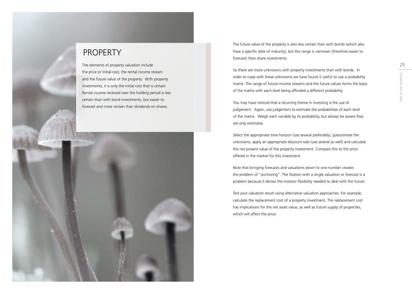### <span id="page-12-0"></span>PROPERTY

The elements of property valuation include the price or initial cost, the rental income stream and the future value of the property. With property investments, it is only the initial cost that is certain. Rental income received over the holding period is less certain than with bond investments, but easier to forecast and more certain than dividends on shares.



The future value of the property is also less certain than with bonds (which also have a specific date of maturity), but the range is narrower (therefore easier to forecast) than share investments.

So there are more unknowns with property investments than with bonds. In order to cope with these unknowns we have found it useful to use a probability matrix. The range of future income streams and the future values forms the basis of the matrix with each level being afforded a different probability.

You may have noticed that a recurring theme in investing is the use of judgement. Again, use judgement to estimate the probabilities of each level of the matrix. Weigh each variable by its probability, but always be aware they are only estimates.

Select the appropriate time horizon (use several preferably), guesstimate the unknowns, apply an appropriate discount rate (use several as well) and calculate the net present value of the property investment. Compare this to the price offered in the market for this investment.

Note that bringing forecasts and valuations down to one number creates the problem of "anchoring". The fixation with a single valuation or forecast is a problem because it denies the investor flexibility needed to deal with the future.

Test your valuation result using alternative valuation approaches. For example, calculate the replacement cost of a property investment. The replacement cost has implications for the net asset value, as well as future supply of properties, which will affect the price.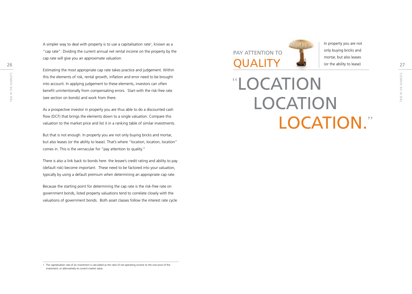A simpler way to deal with property is to use a capitalisation rate<sup>1</sup>, known as a "cap rate". Dividing the current annual net rental income on the property by the cap rate will give you an approximate valuation.

Estimating the most appropriate cap rate takes practice and judgement. Within this the elements of risk, rental growth, inflation and error need to be brought into account. In applying judgement to these elements, investors can often benefit unintentionally from compensating errors. Start with the risk-free rate (see section on bonds) and work from there.

As a prospective investor in property you are thus able to do a discounted cash flow (DCF) that brings the elements down to a single valuation. Compare this valuation to the market price and list it in a ranking table of similar investments.

But that is not enough. In property you are not only buying bricks and mortar, but also leases (or the ability to lease). That's where "location, location, location" comes in. This is the vernacular for "pay attention to quality."

There is also a link back to bonds here: the lessee's credit rating and ability to pay (default risk) become important. These need to be factored into your valuation, typically by using a default premium when determining an appropriate cap rate.

Because the starting point for determining the cap rate is the risk-free rate on government bonds, listed property valuations tend to correlate closely with the valuations of government bonds. Both asset classes follow the interest rate cycle.

 $26$  Cap rate will give you an apploximate valuation. Pay attention to

In property you are not only buying bricks and mortar, but also leases (or the ability to lease)

this the elements of risk, rental growth, inflation and error need to be brought<br>into account. In applying judgement to these elements, investors can often<br>benefit unintentionally from compensating errors. Start with the r Location **LOCATION** LOCATION."

<sup>1</sup> The capitalisation rate of an investment is calculated as the ratio of net operating income to the cost price of the investment, or alternatively its current market value.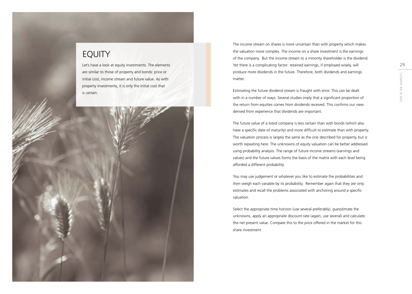### <span id="page-14-0"></span>EQUITY

Let's have a look at equity investments. The elements are similar to those of property and bonds: price or initial cost, income stream and future value. As with property investments, it is only the initial cost that is certain.

The income stream on shares is more uncertain than with property which makes the valuation more complex. The income on a share investment is the earnings of the company. But the income stream to a minority shareholder is the dividend. Yet there is a complicating factor: retained earnings, if employed wisely, will produce more dividends in the future. Therefore, both dividends and earnings matter.

Estimating the future dividend stream is fraught with error. This can be dealt with in a number of ways. Several studies imply that a significant proportion of the return from equities comes from dividends received. This confirms our view derived from experience that dividends are important.

The future value of a listed company is less certain than with bonds (which also have a specific date of maturity) and more difficult to estimate than with property. The valuation process is largely the same as the one described for property, but is worth repeating here. The unknowns of equity valuation can be better addressed using probability analysis. The range of future income streams (earnings and values) and the future values forms the basis of the matrix with each level being afforded a different probability.

You may use judgement or whatever you like to estimate the probabilities and then weigh each variable by its probability. Remember again that they are only estimates and recall the problems associated with anchoring around a specific valuation.

Select the appropriate time horizon (use several preferably), guesstimate the unknowns, apply an appropriate discount rate (again, use several) and calculate the net present value. Compare this to the price offered in the market for this share investment.

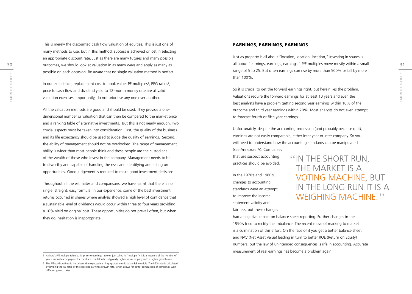This is merely the discounted cash flow valuation of equities. This is just one of many methods to use, but in this method, success is achieved or lost in selecting an appropriate discount rate. Just as there are many futures and many possible possible on each occasion. Be aware that no single valuation method is perfect.

The market of the market services of the market services of the market of the market of the market of the market<br>
Time in the market of the market S Time in the market S Time in the market of the market S Time in the mark In our experience, replacement cost to book value, PE multiples<sup>1</sup>, PEG ratios<sup>2</sup>, price to cash flow and dividend yield to 12-month money rate are all valid valuation exercises. Importantly, do not prioritise any one over another.

All the valuation methods are good and should be used. They provide a onedimensional number or valuation that can then be compared to the market price and a ranking table of alternative investments. But this is not nearly enough. Two crucial aspects must be taken into consideration. First, the quality of the business and its life expectancy should be used to judge the quality of earnings. Second, the ability of management should not be overlooked. The range of management ability is wider than most people think and these people are the custodians of the wealth of those who invest in the company. Management needs to be trustworthy and capable of handling the risks and identifying and acting on opportunities. Good judgement is required to make good investment decisions.

Throughout all the estimates and comparisons, we have learnt that there is no single, straight, easy formula. In our experience, some of the best investment returns occurred in shares where analysis showed a high level of confidence that a sustainable level of dividends would occur within three to four years providing a 10% yield on original cost. These opportunities do not prevail often, but when they do, hesitation is inappropriate.

#### **EARNINGS, EARNINGS, EARNINGS**

30 outcomes, we should look at valuation in as many ways and apply as many as and any as a sample and a shout "earnings, earnings, earnings." P/E multiples move mostly within a small as mall about the straings, earnings." Just as property is all about "location, location, location," investing in shares is all about "earnings, earnings, earnings." P/E multiples move mostly within a small range of 5 to 25. But often earnings can rise by more than 500% or fall by more than 100%.

> So it is crucial to get the forward earnings right, but herein lies the problem. Valuations require the forward earnings for at least 10 years and even the best analysts have a problem getting second year earnings within 10% of the outcome and third year earnings within 20%. Most analysts do not even attempt to forecast fourth or fifth year earnings.

Unfortunately, despite the accounting profession (and probably because of it), earnings are not easily comparable, either inter-year or inter-company. So you will need to understand how the accounting standards can be manipulated (see Annexure A). Companies

that use suspect accounting practices should be avoided.

In the 1970's and 1980's, changes to accounting standards were an attempt to improve the income statement validity and fairness, but these changes "IN THE SHORT RUN, THE MARKET IS A voting machine, but in the long run it is a WEIGHING MACHINE<sup>22</sup>

had a negative impact on balance sheet reporting. Further changes in the 1990's tried to rectify the imbalance. The recent move of marking to market is a culmination of this effort. On the face of it you get a better balance sheet and NAV (Net Asset Value) leading in turn to better ROE (Return on Equity) numbers, but the law of unintended consequences is rife in accounting. Accurate measurement of real earnings has become a problem again.

<sup>1</sup> A share's P/E multiple refers to its price-to-earnings ratio (or just called its "multiple"). It is a measure of the number of years' annual earnings paid for the share. The P/E ratio is typically higher for a company with a higher growth rate.

<sup>2</sup> The P/E-to-Growth ratio introduces the expected earnings growth metric to the P/E multiple. The PEG ratio is calculated by dividing the P/E ratio by the expected earnings growth rate, which allows for better comparison of companies with different growth rates.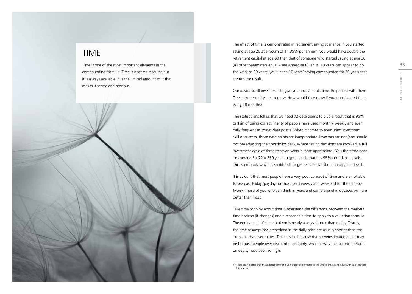### TIME

Time is one of the most important elements in the compounding formula. Time is a scarce resource but it is always available. It is the limited amount of it that makes it scarce and precious.

<span id="page-16-0"></span>

The effect of time is demonstrated in retirement saving scenarios. If you started saving at age 20 at a return of 11.35% per annum, you would have double the retirement capital at age 60 than that of someone who started saving at age 30 (all other parameters equal – see Annexure B). Thus, 10 years can appear to do the work of 30 years, yet it is the 10 years' saving compounded for 30 years that creates the result.

Our advice to all investors is to give your investments time. Be patient with them. Trees take tens of years to grow. How would they grow if you transplanted them every 28 months?1

The statisticians tell us that we need 72 data points to give a result that is 95% certain of being correct. Plenty of people have used monthly, weekly and even daily frequencies to get data points. When it comes to measuring investment skill or success, those data points are inappropriate. Investors are not (and should not be) adjusting their portfolios daily. Where timing decisions are involved, a full investment cycle of three to seven years is more appropriate. You therefore need on average 5 x 72 = 360 years to get a result that has 95% confidence levels. This is probably why it is so difficult to get reliable statistics on investment skill.

It is evident that most people have a very poor concept of time and are not able to see past Friday (payday for those paid weekly and weekend for the nine-tofivers). Those of you who can think in years and comprehend in decades will fare better than most.

Take time to think about time. Understand the difference between the market's time horizon (it changes) and a reasonable time to apply to a valuation formula. The equity market's time horizon is nearly always shorter than reality. That is, the time assumptions embedded in the daily price are usually shorter than the outcome that eventuates. This may be because risk is overestimated and it may be because people over-discount uncertainty, which is why the historical returns on equity have been so high.

<sup>1</sup> Research indicates that the average term of a unit trust fund investor in the United States and South Africa is less than 28 months.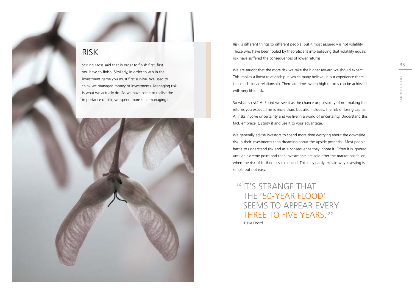### <span id="page-17-0"></span>RISK

Stirling Moss said that in order to finish first, first you have to finish. Similarly, in order to win in the investment game you must first survive. We used to think we managed money or investments. Managing risk is what we actually do. As we have come to realise the importance of risk, we spend more time managing it.



Risk is different things to different people, but it most assuredly is not volatility. Those who have been fooled by theoreticians into believing that volatility equals risk have suffered the consequences of lower returns.

We are taught that the more risk we take the higher reward we should expect. This implies a linear relationship in which many believe. In our experience there is no such linear relationship. There are times when high returns can be achieved with very little risk.

So what is risk? At Foord we see it as the chance or possibility of not making the returns you expect. This is more than, but also includes, the risk of losing capital. All risks involve uncertainty and we live in a world of uncertainty. Understand this fact, embrace it, study it and use it to your advantage.

We generally advise investors to spend more time worrying about the downside risk in their investments than dreaming about the upside potential. Most people battle to understand risk and as a consequence they ignore it. Often it is ignored until an extreme point and then investments are sold after the market has fallen, when the risk of further loss is reduced. This may partly explain why investing is simple but not easy.

Dave Foord **"IT'S STRANGE THAT"** the '50-year flood' seems to appear every THREE TO FIVE YEARS."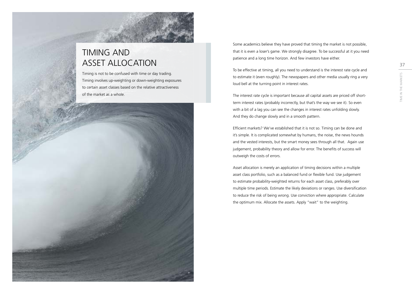### <span id="page-18-0"></span>TIMING and ASSET ALLOCATION

Timing is not to be confused with time or day trading. Timing involves up-weighting or down-weighting exposures to certain asset classes based on the relative attractiveness of the market as a whole.



Some academics believe they have proved that timing the market is not possible, that it is even a loser's game. We strongly disagree. To be successful at it you need patience and a long time horizon. And few investors have either.

To be effective at timing, all you need to understand is the interest rate cycle and to estimate it (even roughly). The newspapers and other media usually ring a very loud bell at the turning point in interest rates.

The interest rate cycle is important because all capital assets are priced off shortterm interest rates (probably incorrectly, but that's the way we see it). So even with a bit of a lag you can see the changes in interest rates unfolding slowly. And they do change slowly and in a smooth pattern.

Efficient markets? We've established that it is not so. Timing can be done and it's simple. It is complicated somewhat by humans, the noise, the news hounds and the vested interests, but the smart money sees through all that. Again use judgement, probability theory and allow for error. The benefits of success will outweigh the costs of errors.

Asset allocation is merely an application of timing decisions within a multiple asset class portfolio, such as a balanced fund or flexible fund. Use judgement to estimate probability-weighted returns for each asset class, preferably over multiple time periods. Estimate the likely deviations or ranges. Use diversification to reduce the risk of being wrong. Use conviction where appropriate. Calculate the optimum mix. Allocate the assets. Apply "wait" to the weighting.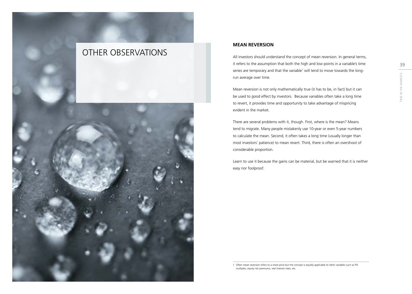### OTHER OBSERVATIONS

<span id="page-19-0"></span>

#### **MEAN REVERSION**

All investors should understand the concept of mean reversion. In general terms, it refers to the assumption that both the high and low points in a variable's time series are temporary and that the variable<sup>1</sup> will tend to move towards the longrun average over time.

Mean reversion is not only mathematically true (it has to be, in fact) but it can be used to good effect by investors. Because variables often take a long time to revert, it provides time and opportunity to take advantage of mispricing evident in the market.

There are several problems with it, though. First, where is the mean? Means tend to migrate. Many people mistakenly use 10-year or even 5-year numbers to calculate the mean. Second, it often takes a long time (usually longer than most investors' patience) to mean revert. Third, there is often an overshoot of considerable proportion.

Learn to use it because the gains can be material, but be warned that it is neither easy nor foolproof.

1 Often mean reversion refers to a share price but the concept is equally applicable to other variables such as P/E multiples, equity risk premiums, real interest rates, etc.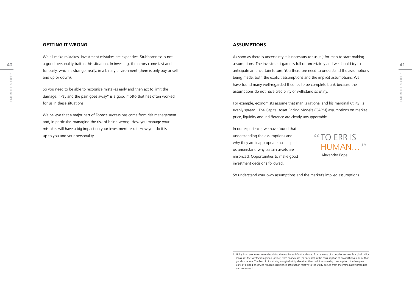#### **GETTING IT WRONG**

We all make mistakes. Investment mistakes are expensive. Stubbornness is not a good personality trait in this situation. In investing, the errors come fast and furiously, which is strange, really, in a binary environment (there is only buy or sell and up or down).

So you need to be able to recognise mistakes early and then act to limit the damage. "Pay and the pain goes away" is a good motto that has often worked for us in these situations.

We believe that a major part of Foord's success has come from risk management and, in particular, managing the risk of being wrong. How you manage your mistakes will have a big impact on your investment result. How you do it is up to you and your personality.

#### **ASSUMPTIONS**

40 a good personality trait in this situation. In investing, the errors come fast and **the interval of a symptions. The investment** game is full of uncertainty and we should try to the investment game is full of uncertaint  $\frac{15}{20}$ <br>
So you need to be able to recognise mistakes early and then act to limit the server and the market ound many well-regarded theories to be complete bunk because the server of the market of the market of the ma As soon as there is uncertainty it is necessary (or usual) for man to start making anticipate an uncertain future. You therefore need to understand the assumptions being made, both the explicit assumptions and the implicit assumptions. We have found many well-regarded theories to be complete bunk because the assumptions do not have credibility or withstand scrutiny.

For example, economists assume that man is rational and his marginal utility<sup>1</sup> is evenly spread. The Capital Asset Pricing Model's (CAPM) assumptions on market price, liquidity and indifference are clearly unsupportable.

In our experience, we have found that understanding the assumptions and why they are inappropriate has helped us understand why certain assets are mispriced. Opportunities to make good investment decisions followed.



So understand your own assumptions and the market's implied assumptions.

<sup>1</sup> Utility is an economics term describing the relative satisfaction derived from the use of a good or service. Marginal utility measures the satisfaction gained (or lost) from an increase (or decrease) in the consumption of an additional unit of that good or service. The law of diminishing marginal utility describes the condition whereby consumption of subsequent units of a good or service results in diminished satisfaction relative to the utility gained from the immediately preceding unit consumed.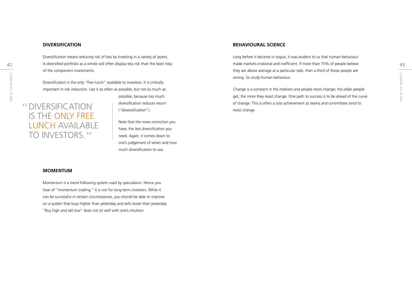#### **DIVERSIFICATION**

42 A diversified portfolio as a whole will often display less risk than the least risky than the state of the made markets irrational and inefficient. If more than 75% of people believe than 75% of people believe than  $75\$ Diversification means reducing risk of loss by investing in a variety of assets. of the component investments.

Diversification is the only "free lunch" available to investors. It is critically important in risk reduction. Use it as often as possible, but not as much as

### Diversification is the only free LUNCH AVAILABLE TO INVESTORS."

possible, because too much diversification reduces return ("diworsification").

Note that the more conviction you have, the less diversification you need. Again, it comes down to one's judgement of when and how much diversification to use.

#### **MOMENTUM**

Momentum is a trend following system used by speculators. Hence you hear of "momentum trading." It is not for long-term investors. While it can be successful in certain circumstances, you should be able to improve on a system that buys higher than yesterday and sells lower than yesterday. "Buy high and sell low" does not sit well with one's intuition.

#### **BEHAVIOURAL SCIENCE**

Long before it became in vogue, it was evident to us that human behaviour made markets irrational and inefficient. If more than 75% of people believe they are above average at a particular task, then a third of those people are wrong. So study human behaviour.

Universification is the only "free lunch" available to investors. It is critically<br>
Signification is the only "free lunch" available to investors. It is critically<br>
Signification is the only "free lunch" as often as possi Change is a constant in the markets and people resist change; the older people get, the more they resist change. One path to success is to be ahead of the curve of change. This is often a solo achievement as teams and committees tend to resist change.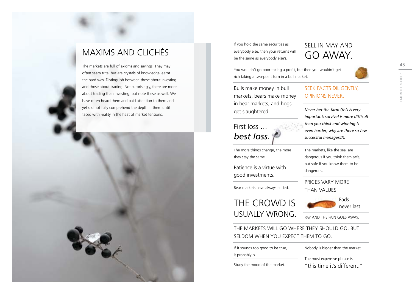### <span id="page-22-0"></span>MAXIMS AND CLICHÉS

The markets are full of axioms and sayings. They may often seem trite, but are crystals of knowledge learnt the hard way. Distinguish between those about investing and those about trading. Not surprisingly, there are more about trading than investing, but note these as well. We have often heard them and paid attention to them and yet did not fully comprehend the depth in them until faced with reality in the heat of market tensions.



If you hold the same securities as everybody else, then your returns will be the same as everybody else's.

### Sell in May and go away.

You wouldn't go poor taking a profit, but then you wouldn't get rich taking a two-point turn in a bull market.

Bulls make money in bull markets, bears make money in bear markets, and hogs get slaughtered.

### First loss … *best loss.*

The more things change, the more they stay the same.

Patience is a virtue with good investments.

Bear markets have always ended.

### The crowd is usually wrong.

SEEK FACTS DILIGENTLY, opinions never.

*Never bet the farm (this is very important: survival is more difficult than you think and winning is even harder; why are there so few successful managers?).*

The markets, like the sea, are dangerous if you think them safe, but safe if you know them to be dangerous.

Prices vary more than values.



Pay and the pain goes away.

The markets will go where they should go, but seldom when you expect them to go.

If it sounds too good to be true, it probably is.

Study the mood of the market.

Nobody is bigger than the market.

The most expensive phrase is

"this time it's different."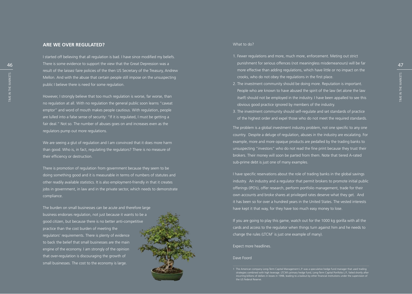#### **ARE WE O VER REGULATE D?**

46 There is some evidence to support the view that the Great Depression was a series and a series of the punishment for serious offences (not meaningless misdemeanours) will be far a series a series of the series of the se I started off believing that all regulation is bad. I have since modified my beliefs. result of the laissez faire policies of the then US Secretary of the Treasury, Andrew Mellon. And with the abuse that certain people still impose on the unsuspecting public I believe there is need for some regulation.

However, I strongly believe that too much regulation is worse, far worse, than no regulation at all. With no regulation the general public soon learns "caveat emptor" and word of mouth makes people cautious. With regulation, people are lulled into a false sense of security: " If it is regulated, I must be getting a fair deal." Not so. The number of abuses goes on and increases even as the regulators pump out more regulations.

We are seeing a glut of regulation and I am convinced that it does more harm than good. Who is, in fact, regulating the regulators? There is no measure of their efficiency or destruction.

There is promotion of regulation from government because they seem to be doing something good and it is measurable in terms of numbers of statutes and other readily available statistics. It is also employment-friendly in that it creates jobs in government, in law and in the private sector, which needs to demonstrate compliance.

The burden on small businesses can be acute and therefore large business endorses regulation, not just because it wants to be a good citizen, but because there is no better anti-competitive practice than the cost burden of meeting the regulators' requirements. There is plenty of evidence to back the belief that small businesses are the main engine of the economy. I am strongly of the opinion that over-regulation is discouraging the growth of small businesses. The cost to the economy is large.



#### What to do?

- 1. Fewer regulations and more, much more, enforcement. Meting out strict punishment for serious offences (not meaningless misdemeanours) will be far more effective than adding regulations, which have little or no impact on the crooks, who do not obey the regulations in the first place.
- Mellon. And with the abuse that certain people still impose on the unsuspecting and the marketing of the market<br>
Figure is need for some regulation.<br>
The investment community should be doing more. Reputation is important.<br> 2. The investment community should be doing more. Reputation is important. People who are known to have abused the spirit of the law (let alone the law itself) should not be employed in the industry. I have been appalled to see this obvious good practice ignored by members of the industry. USE Mellon. And with the abuse that certain people still impose on the unsuspecting the marketing crooks, who do not obey the regulations in the first place.<br>
The investment community should be doing more. Reputation is i
	- 3. The investment community should self-regulate and set standards of practice of the highest order and expel those who do not meet the required standards.

The problem is a global investment industry problem, not one specific to any one country. Despite a deluge of regulation, abuses in the industry are escalating. For example, more and more opaque products are pedalled by the trading banks to unsuspecting "investors" who do not read the fine print because they trust their brokers. Their money will soon be parted from them. Note that tiered A-rated sub-prime debt is just one of many examples.<br>I have specific reservations about the role of trading banks in the global savings

industry. An industry and a regulator that permit brokers to promote initial public offerings ( IPO's), offer research, perform portfolio management, trade for their own accounts and broke shares at privileged rates deserve what they get. And it has been so for over a hundred years in the United States. The vested interests have kept it that way, for they have too much easy money to lose.

If you are going to play this game, watch out for the 1000 kg gorilla with all the cards and access to the regulator when things turn against him and he needs to change the rules (LTCM 1 is just one example of many).

#### Expect more headlines.

#### Dave Foord

<sup>1</sup> The American company Long-Term Capital Management L.P. was a speculative hedge fund manager that used trading strategies combined with high leverage. LTCM's primary hedge fund, Long-Term Capital Portfolio L.P., failed shortly after<br>incurring billions of dollars in losses in 1998, leading to a bailout by other financial institution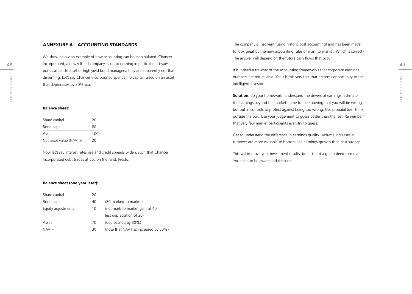48 49 Incorporated, a newly listed company, is up to nothing in particular. It issues discerning. Let's say Chancer Incorporated spends the capital raised on an asset<br>  $\frac{15}{2}$ <br>  $\frac{15}{2}$ <br>  $\frac{15}{2}$ <br>  $\frac{15}{2}$ <br>  $\frac{15}{2}$ <br>  $\frac{15}{2}$ <br>  $\frac{15}{2}$ <br>  $\frac{15}{2}$ <br>  $\frac{15}{2}$ <br>  $\frac{15}{2}$ <br>  $\frac{15}{2}$ <br>  $\frac{15}{$ We show below an example of how accounting can be manipulated. Chancer bonds at par to a set of high yield bond managers; they are apparently not that discerning. Let's say Chancer Incorporated spends the capital raised on an asset that depreciates by 30% p.a.

#### **Balance sheet:**

| Share capital             | 20  |
|---------------------------|-----|
| Bond capital              | 80  |
| Asset                     | 100 |
| Net asset value $(NAV)$ = | 20  |

Now let's say interest rates rise and credit spreads widen, such that Chancer Incorporated debt trades at 50c on the rand. Presto:

The company is insolvent (using historic cost accounting) and has been made to look great by the new accounting rules of mark to market. Which is correct? The answer will depend on the future cash flows that occur.

It is indeed a travesty of the accounting frameworks that corporate earnings numbers are not reliable. Yet it is this very fact that presents opportunity to the intelligent investor.

**Solution:** do your homework, understand the drivers of earnings, estimate the earnings beyond the market's time frame knowing that you will be wrong, but put in controls to protect against being too wrong. Use probabilities. Think outside the box. Use your judgement to guess better than the rest. Remember that very few market participants even try to guess.

Get to understand the difference in earnings quality. Volume increases in turnover are more valuable to bottom line earnings growth than cost savings.

This will improve your investment results, but it is not a guaranteed formula. You need to be aware and thinking.

#### **Balance sheet (one year later):**

| Share capital      | 20 |                                      |
|--------------------|----|--------------------------------------|
| Bond capital       | 40 | (80 marked to market)                |
| Equity adjustments | 10 | (net mark to market gain of 40       |
|                    |    | less depreciation of 30)             |
| Asset              | 70 | (depreciated by 30%)                 |
| $NAV =$            | 30 | (note that NAV has increased by 50%) |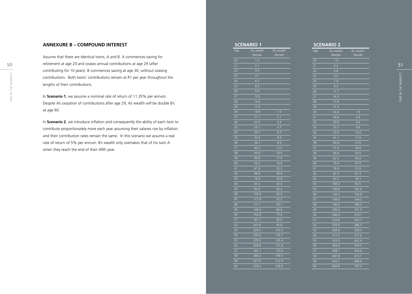#### **Annexure B – Compo u nd Interest**

50 50 51 retirement at age 20 and ceases annual contributions at age 29 (after  $\frac{1}{21}$   $\frac{2.1}{2.1}$   $\frac{2.1}{2.2}$   $\frac{2.2}{2.2}$ Contributions. Both twins' contributions remain at R1 per year throughout the<br>
Example in the market of their contributions.<br>
The market S Time in the market of return of 11.35% per annum.<br>
The market of the market of re Assume that there are identical twins, A and B. A commences saving for contributing for 10 years). B commences saving at age 30, without ceasing contributions. Both twins' contributions remain at R1 per year throughout the lengths of their contributions.

In **Scenario 1**, we assume a nominal rate of return of 11.35% per annum. Despite A's cessation of contributions after age 29, A's wealth will be double B's at age 60.

In **Scenario 2**, we introduce inflation and consequently the ability of each twin to contribute proportionately more each year assuming their salaries rise by inflation and their contribution rates remain the same. In this scenario we assume a real rate of return of 5% per annum. B's wealth only overtakes that of his twin A when they reach the end of their 49th year.

|                 | <b>SCENARIO 1</b>  |                  |
|-----------------|--------------------|------------------|
| Age             | A's wealth         | B's wealth       |
|                 | (Rands)            | (Rands)          |
| 20              | 1.0                |                  |
| 21              | 2.1                |                  |
| 22              | 3.4                |                  |
| 23              | $\overline{4.7}$   |                  |
| 24              | 6.3                |                  |
| 25              | 8.0                |                  |
| 26              | 9.9                |                  |
| 27              | 12.0               |                  |
| 28              | 14.4               |                  |
| 29              | 17.0               |                  |
| 30              | 18.9               | 1.0              |
| 31              | 21.1               | 2.1              |
| 32              | 23.5               | 3.4              |
| 33              | 26.1               | 4.7              |
| 34              | 29.1               | 6.3              |
| 35              | 32.4               | 8.0              |
| 36              | 36.1               | 9.9              |
| 37              | 40.2               | 12.0             |
| 38              | $\frac{44.8}{ }$   | 14.4             |
| 39              | 49.8               | 17.0             |
| 40              | 55.5               | <u>19.9</u>      |
| 41              | 61.8               | 23.3             |
| 42              | 68.8               | 26.8             |
| 43              | 76.6               | 30.9             |
| 44              | 85.3               | 35.4             |
| 45              | 95.0               | $\frac{40.4}{4}$ |
| 46              | 105.8              | 46.0             |
| 47              | 117.8              | 52.2             |
| 48              | $1\overline{31.1}$ | 59.1             |
| 49              | 146.0              | 66.8             |
| 50              | 162.6              | 75.4             |
| 51              | 181.1              | 85.0             |
| 52              | 201.6              | 95.6             |
| 53              | 224.5              | 107.5            |
| $5\overline{4}$ | 250.0              | 120.7            |
| 55              | 278.3              | 135.4            |
| 56              | 309.9              | 151.8            |
| 57              | 345.1              | 170.0            |
| 58              | 384.3              | 190.3            |
| 59              | 427.9              | 212.9            |
| 60              | 476.4              | 238.0            |
|                 |                    |                  |

#### **Scenario 2** Age A's wealth<br>(Rands) B's wealth<br>(Rands) 20 1.0  $\overline{21}$   $\overline{2.2}$ 22 3.6 23 5.2  $\overline{24}$  7.0  $\begin{array}{|c|c|}\n\hline\n25 & 9.2 \\
\hline\n26 & 11.7 \\
\hline\n27 & 14.5 \\
\hline\n\end{array}$  $11.7$ 14.5 28 17.8  $21.6$ 30 24.0 1.9 31 26.8 4.0 32 29.8 6.6<br>33 33.2 9.6 33 33.2 9.6 34 37.0 13.0 35 41.1 17.0 36 45.8 21.6<br>37 51.0 26.9 37 51.0 26.9  $\begin{array}{|c|c|c|}\hline \rule{0pt}{2.5ex}\rule{0pt}{2.5ex} \frac{38}{39} & \rule{0pt}{2.5ex} & \rule{0pt}{2.5ex} & \rule{0pt}{2.5ex} & \rule{0pt}{2.5ex} & \rule{0pt}{2.5ex} & \rule{0pt}{2.5ex} & \rule{0pt}{2.5ex} & \rule{0pt}{2.5ex} & \rule{0pt}{2.5ex} & \rule{0pt}{2.5ex} & \rule{0pt}{2.5ex} & \rule{0pt}{2.5ex} & \rule{0pt}{2.5ex} & \rule{0pt}{2.5ex} & \rule{0pt}{$ 63.3 40.0 70.4 47.9 41 78.4 57.0 42 87.3 67.3 43 97.2 79.1 44 108.3 92.5 45 120.6 107.6<br>46 134.3 124.8 134.3 124.8 47 149.5 144.2 48 166.5 166.2<br>49 185.4 191.0 185.4 191.0 50 206.4 219.1 51 229.8 250.7 52 255.9 286.3<br>53 284.9 326.4 53 284.9 326.4<br>54 317.3 371.6 54 317.3 371.6<br>55 353.3 422.4<br>56 393.4 479.5 55 353.3 422.4 56 393.4 479.5 57 438.1 543.6 58 487.8 615.7 59 543.1 696.6 60 604.8 787.4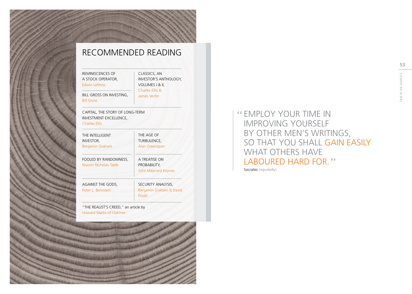## 53Time in the marketS

### <span id="page-26-0"></span>Recommended Reading

Reminiscences of a Stock Operator, Edwin Lefèvre

Classics, An Investor's Anthology, Volumes I & II, Charles Ellis &

BILL GROSS ON INVESTING, and James Verting Bill Gross

Capital, The Story of Long-Term Investment Excellence,

#### Charles Ellis

| THE INTELLIGENT<br>INVESTOR,<br>Benjamin Graham | THE AGE OF<br>TURBULENCE,<br>Alan Greenspan           |
|-------------------------------------------------|-------------------------------------------------------|
| FOOLED BY RANDOMNESS,<br>Nassim Nicholas Taleb  | A TREATISE ON<br>PROBABILITY,<br>John Maynard Keynes  |
| AGAINST THE GODS,<br>Peter L. Bernstein         | SECURITY ANALYSIS,<br>Benjamin Graham & David<br>Dodd |

"THE REALIST'S CREED," an article by Howard Marks of Oaktree



Employ your time in improving yourself by other men's writings, so that you shall gain easily WHAT OTHERS HAVE LABOURED HARD FOR." Socrates (reputedly)